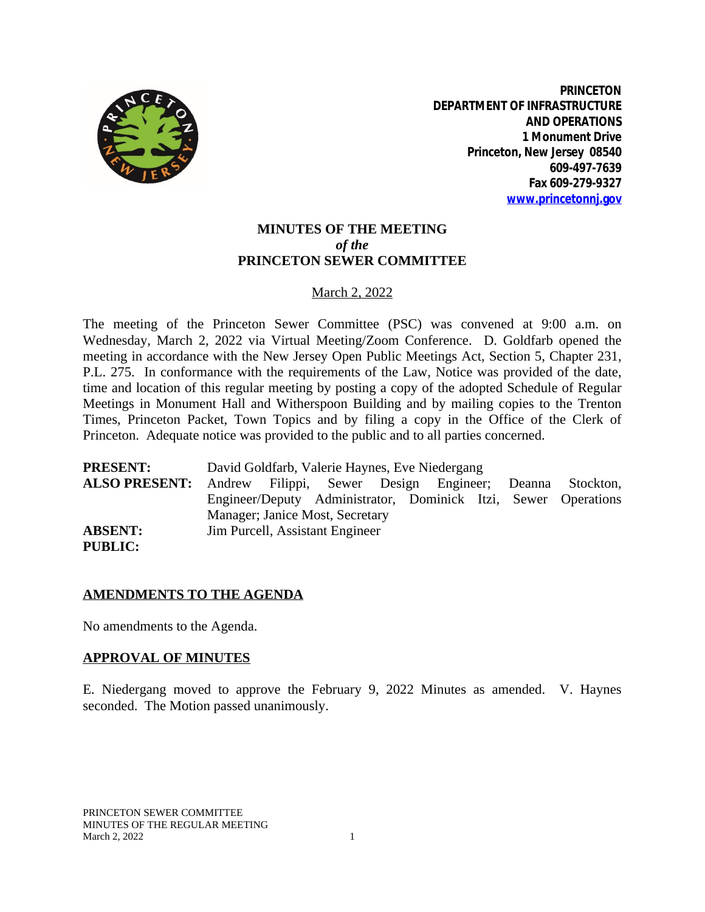

**PRINCETON DEPARTMENT OF INFRASTRUCTURE AND OPERATIONS 1 Monument Drive Princeton, New Jersey 08540 609-497-7639 Fax 609-279-9327 [www.princetonnj.gov](http://www.princetonnj.gov)**

## **MINUTES OF THE MEETING** *of the* **PRINCETON SEWER COMMITTEE**

### March 2, 2022

The meeting of the Princeton Sewer Committee (PSC) was convened at 9:00 a.m. on Wednesday, March 2, 2022 via Virtual Meeting/Zoom Conference. D. Goldfarb opened the meeting in accordance with the New Jersey Open Public Meetings Act, Section 5, Chapter 231, P.L. 275. In conformance with the requirements of the Law, Notice was provided of the date, time and location of this regular meeting by posting a copy of the adopted Schedule of Regular Meetings in Monument Hall and Witherspoon Building and by mailing copies to the Trenton Times, Princeton Packet, Town Topics and by filing a copy in the Office of the Clerk of Princeton. Adequate notice was provided to the public and to all parties concerned.

**PRESENT:** David Goldfarb, Valerie Haynes, Eve Niedergang **ALSO PRESENT:** Andrew Filippi, Sewer Design Engineer; Deanna Stockton, Engineer/Deputy Administrator, Dominick Itzi, Sewer Operations Manager; Janice Most, Secretary **ABSENT:** Jim Purcell, Assistant Engineer **PUBLIC:**

#### **AMENDMENTS TO THE AGENDA**

No amendments to the Agenda.

#### **APPROVAL OF MINUTES**

E. Niedergang moved to approve the February 9, 2022 Minutes as amended. V. Haynes seconded. The Motion passed unanimously.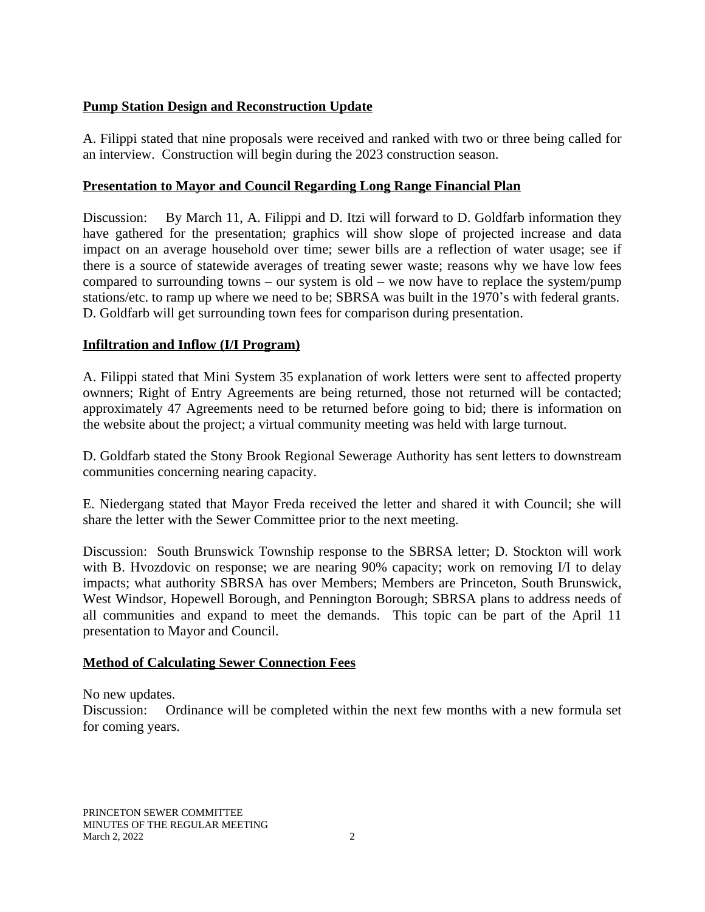## **Pump Station Design and Reconstruction Update**

A. Filippi stated that nine proposals were received and ranked with two or three being called for an interview. Construction will begin during the 2023 construction season.

## **Presentation to Mayor and Council Regarding Long Range Financial Plan**

Discussion: By March 11, A. Filippi and D. Itzi will forward to D. Goldfarb information they have gathered for the presentation; graphics will show slope of projected increase and data impact on an average household over time; sewer bills are a reflection of water usage; see if there is a source of statewide averages of treating sewer waste; reasons why we have low fees compared to surrounding towns – our system is old – we now have to replace the system/pump stations/etc. to ramp up where we need to be; SBRSA was built in the 1970's with federal grants. D. Goldfarb will get surrounding town fees for comparison during presentation.

## **Infiltration and Inflow (I/I Program)**

A. Filippi stated that Mini System 35 explanation of work letters were sent to affected property ownners; Right of Entry Agreements are being returned, those not returned will be contacted; approximately 47 Agreements need to be returned before going to bid; there is information on the website about the project; a virtual community meeting was held with large turnout.

D. Goldfarb stated the Stony Brook Regional Sewerage Authority has sent letters to downstream communities concerning nearing capacity.

E. Niedergang stated that Mayor Freda received the letter and shared it with Council; she will share the letter with the Sewer Committee prior to the next meeting.

Discussion: South Brunswick Township response to the SBRSA letter; D. Stockton will work with B. Hvozdovic on response; we are nearing 90% capacity; work on removing I/I to delay impacts; what authority SBRSA has over Members; Members are Princeton, South Brunswick, West Windsor, Hopewell Borough, and Pennington Borough; SBRSA plans to address needs of all communities and expand to meet the demands. This topic can be part of the April 11 presentation to Mayor and Council.

## **Method of Calculating Sewer Connection Fees**

No new updates.

Discussion: Ordinance will be completed within the next few months with a new formula set for coming years.